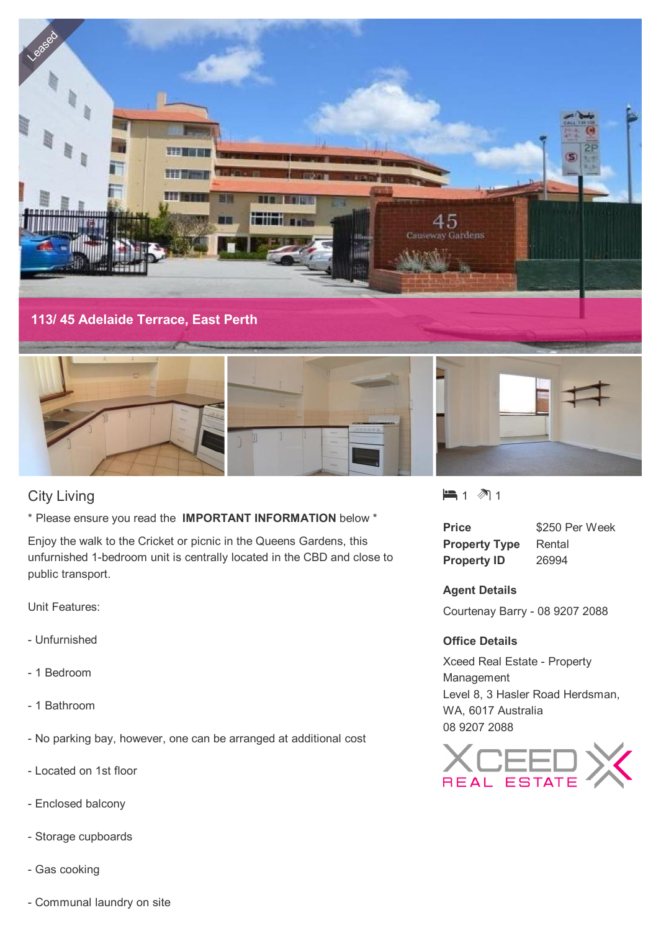

# City Living

\* Please ensure you read the **IMPORTANT INFORMATION** below \*

Enjoy the walk to the Cricket or picnic in the Queens Gardens, this unfurnished 1-bedroom unit is centrally located in the CBD and close to public transport.

Unit Features:

- Unfurnished
- 1 Bedroom
- 1 Bathroom
- No parking bay, however, one can be arranged at additional cost
- Located on 1st floor
- Enclosed balcony
- Storage cupboards
- Gas cooking
- Communal laundry on site

 $-1$   $\mathbb{1}$  1

| Price                | \$250 Per Week |
|----------------------|----------------|
| <b>Property Type</b> | Rental         |
| <b>Property ID</b>   | 26994          |

## **Agent Details**

Courtenay Barry - 08 9207 2088

#### **Office Details**

Xceed Real Estate - Property Management Level 8, 3 Hasler Road Herdsman, WA, 6017 Australia 08 9207 2088